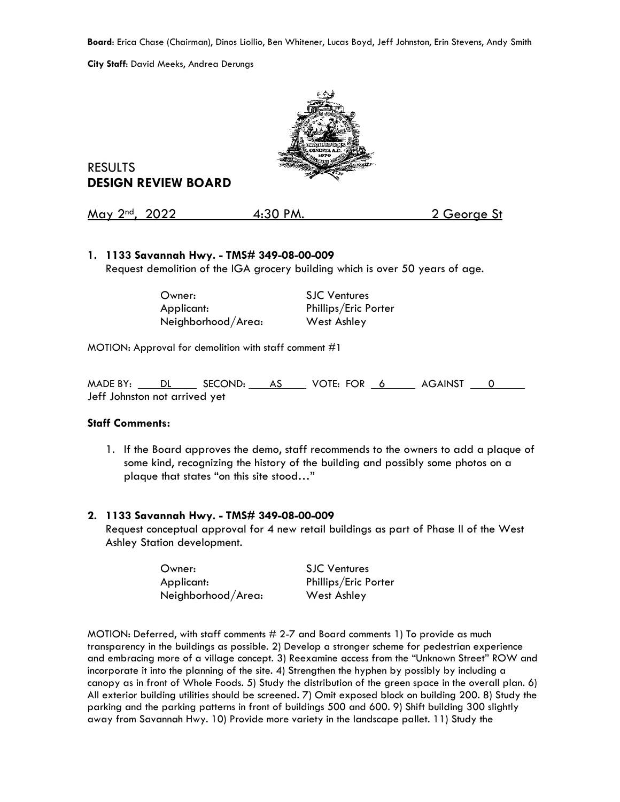**Board**: Erica Chase (Chairman), Dinos Liollio, Ben Whitener, Lucas Boyd, Jeff Johnston, Erin Stevens, Andy Smith

**City Staff**: David Meeks, Andrea Derungs



RESULTS **DESIGN REVIEW BOARD**

May 2<sup>nd</sup>, 2022 4:30 PM. 2 George St

### **1. 1133 Savannah Hwy. - TMS# 349-08-00-009**

Request demolition of the IGA grocery building which is over 50 years of age.

| Owner:             | <b>SJC Ventures</b>  |
|--------------------|----------------------|
| Applicant:         | Phillips/Eric Porter |
| Neighborhood/Area: | West Ashley          |

MOTION: Approval for demolition with staff comment #1

MADE BY: DL SECOND: AS VOTE: FOR 6 AGAINST 0 Jeff Johnston not arrived yet

#### **Staff Comments:**

1. If the Board approves the demo, staff recommends to the owners to add a plaque of some kind, recognizing the history of the building and possibly some photos on a plaque that states "on this site stood…"

#### **2. 1133 Savannah Hwy. - TMS# 349-08-00-009**

Request conceptual approval for 4 new retail buildings as part of Phase II of the West Ashley Station development.

| Owner:             | <b>SJC Ventures</b>  |
|--------------------|----------------------|
| Applicant:         | Phillips/Eric Porter |
| Neighborhood/Area: | West Ashley          |

MOTION: Deferred, with staff comments # 2-7 and Board comments 1) To provide as much transparency in the buildings as possible. 2) Develop a stronger scheme for pedestrian experience and embracing more of a village concept. 3) Reexamine access from the "Unknown Street" ROW and incorporate it into the planning of the site. 4) Strengthen the hyphen by possibly by including a canopy as in front of Whole Foods. 5) Study the distribution of the green space in the overall plan. 6) All exterior building utilities should be screened. 7) Omit exposed block on building 200. 8) Study the parking and the parking patterns in front of buildings 500 and 600. 9) Shift building 300 slightly away from Savannah Hwy. 10) Provide more variety in the landscape pallet. 11) Study the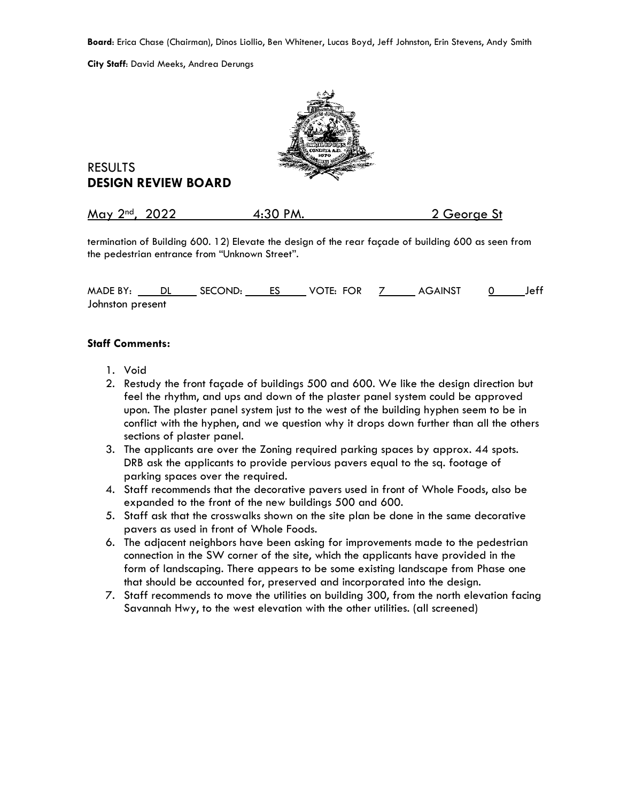**Board**: Erica Chase (Chairman), Dinos Liollio, Ben Whitener, Lucas Boyd, Jeff Johnston, Erin Stevens, Andy Smith

**City Staff**: David Meeks, Andrea Derungs



# RESULTS **DESIGN REVIEW BOARD**

| May 2 <sup>nd</sup> , 2022<br>4:30 PM.<br>2 George St |  |
|-------------------------------------------------------|--|
|-------------------------------------------------------|--|

termination of Building 600. 12) Elevate the design of the rear façade of building 600 as seen from the pedestrian entrance from "Unknown Street".

MADE BY: DL SECOND: ES VOTE: FOR 7 AGAINST 0 Jeff Johnston present

### **Staff Comments:**

- 1. Void
- 2. Restudy the front façade of buildings 500 and 600. We like the design direction but feel the rhythm, and ups and down of the plaster panel system could be approved upon. The plaster panel system just to the west of the building hyphen seem to be in conflict with the hyphen, and we question why it drops down further than all the others sections of plaster panel.
- 3. The applicants are over the Zoning required parking spaces by approx. 44 spots. DRB ask the applicants to provide pervious pavers equal to the sq. footage of parking spaces over the required.
- 4. Staff recommends that the decorative pavers used in front of Whole Foods, also be expanded to the front of the new buildings 500 and 600.
- 5. Staff ask that the crosswalks shown on the site plan be done in the same decorative pavers as used in front of Whole Foods.
- 6. The adjacent neighbors have been asking for improvements made to the pedestrian connection in the SW corner of the site, which the applicants have provided in the form of landscaping. There appears to be some existing landscape from Phase one that should be accounted for, preserved and incorporated into the design.
- 7. Staff recommends to move the utilities on building 300, from the north elevation facing Savannah Hwy, to the west elevation with the other utilities. (all screened)